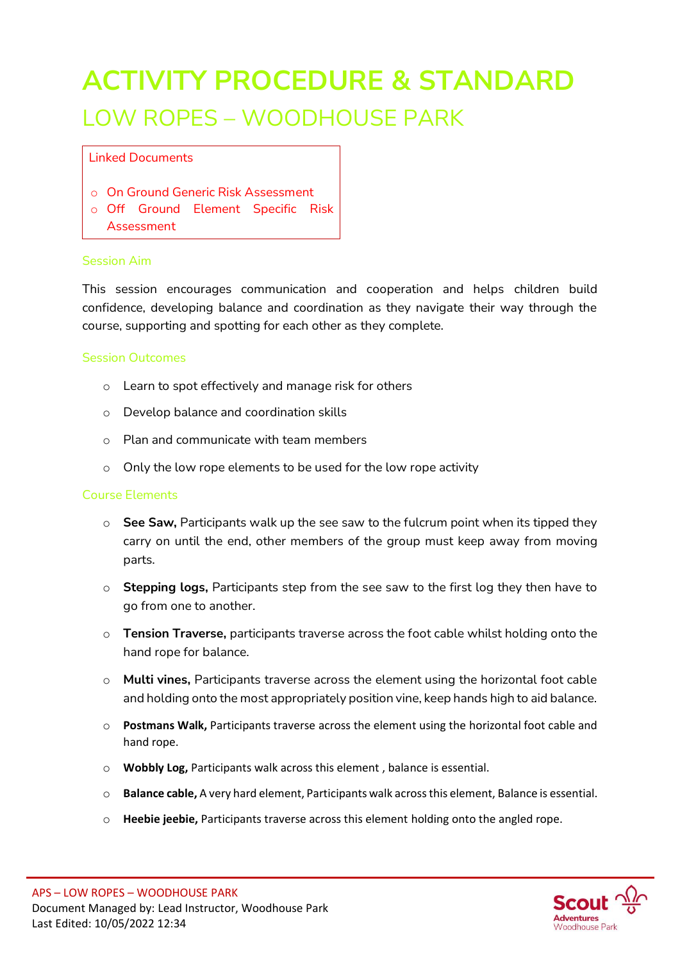# **ACTIVITY PROCEDURE & STANDARD** LOW ROPES – WOODHOUSE PARK

Linked Documents

- o On Ground Generic Risk Assessment
- o Off Ground Element Specific Risk Assessment

#### Session Aim

This session encourages communication and cooperation and helps children build confidence, developing balance and coordination as they navigate their way through the course, supporting and spotting for each other as they complete.

### Session Outcomes

- o Learn to spot effectively and manage risk for others
- o Develop balance and coordination skills
- o Plan and communicate with team members
- o Only the low rope elements to be used for the low rope activity

### Course Elements

- o **See Saw,** Participants walk up the see saw to the fulcrum point when its tipped they carry on until the end, other members of the group must keep away from moving parts.
- o **Stepping logs,** Participants step from the see saw to the first log they then have to go from one to another.
- o **Tension Traverse,** participants traverse across the foot cable whilst holding onto the hand rope for balance.
- o **Multi vines,** Participants traverse across the element using the horizontal foot cable and holding onto the most appropriately position vine, keep hands high to aid balance.
- o **Postmans Walk,** Participants traverse across the element using the horizontal foot cable and hand rope.
- o **Wobbly Log,** Participants walk across this element , balance is essential.
- o **Balance cable,** A very hard element, Participants walk across this element, Balance is essential.
- o **Heebie jeebie,** Participants traverse across this element holding onto the angled rope.

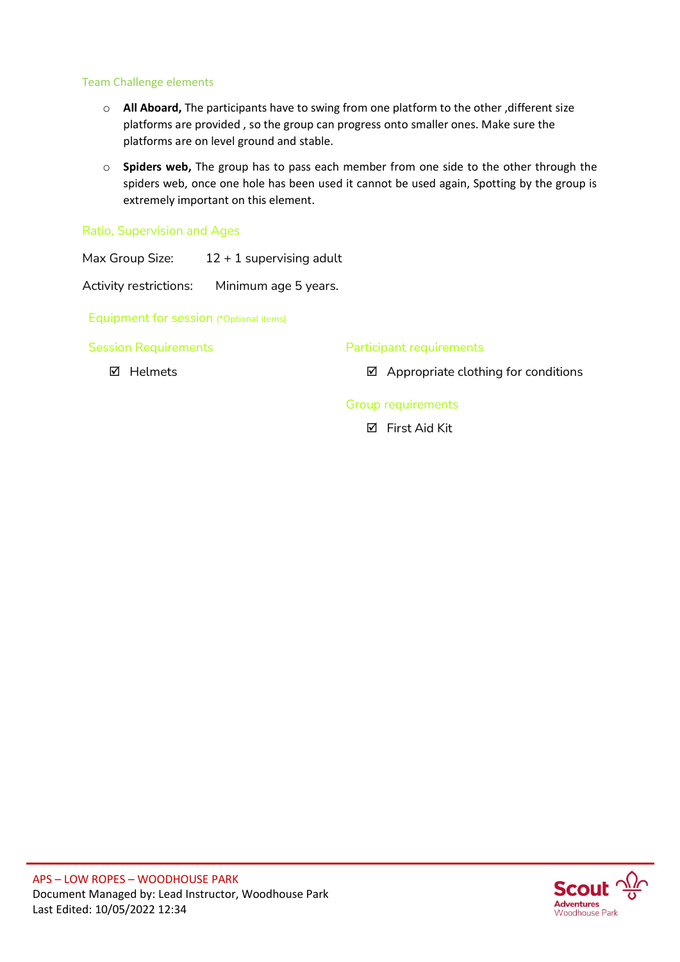### Team Challenge elements

- o **All Aboard,** The participants have to swing from one platform to the other ,different size platforms are provided , so the group can progress onto smaller ones. Make sure the platforms are on level ground and stable.
- o **Spiders web,** The group has to pass each member from one side to the other through the spiders web, once one hole has been used it cannot be used again, Spotting by the group is extremely important on this element.

Ratio, Supervision and Ages

Max Group Size:  $12 + 1$  supervising adult

Activity restrictions: Minimum age 5 years.

Equipment for session (\*Optional items)

Session Requirements

**Ø** Helmets

Participant requirements

 $\boxtimes$  Appropriate clothing for conditions

Group requirements

**Ø** First Aid Kit